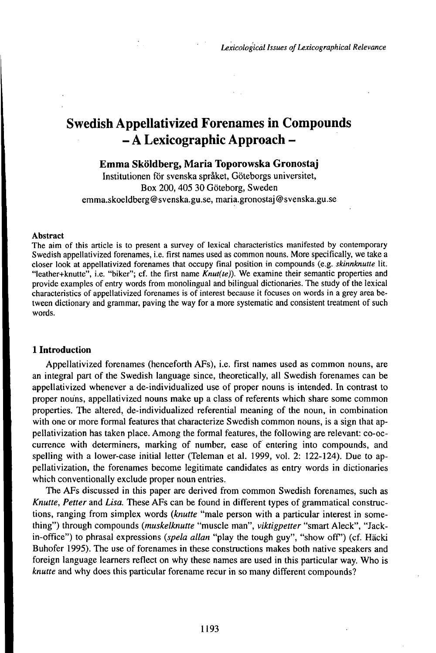# Swedish Appellativized Forenames in Compounds -A Lexicographic Approach -

# **Emma Sköldberg, Maria Toporowska Gronostaj**

Institutionen för svenska språket, Göteborgs universitet, Box 200,405 30 Göteborg, Sweden emma.skoeldberg@svenska.gu.se, maria.gronostaj @svenska.gu.se

#### Abstract

The aim of this article is to present a survey of lexical characteristics manifested by contemporary Swedish appellativized forenames, i.e. first names used as common nouns. More specifically, we take a closer look at appellativized forenames that occupy final position in compounds (e.g. *skinnknutte* lit. "leather+knutte", i.e. "biker"; cf. the first name *Knut(te)).* We examine their semantic properties and provide examples of entry words from monolingual and bilingual dictionaries. The study of the lexical characteristics of appellativized forenames is of interest because it focuses on words in a grey area between dictionary and grammar, paving the way for a more systematic and consistent treatment of such words.

## **1 Introduction**

Appellativized forenames (henceforth AFs), i.e. first names used as common nouns, are an integral part of the Swedish language since, theoretically, all Swedish forenames can be appellativized whenever a de-individualized use of proper nouns is intended. In contrast to proper nouns, appellativized nouns make up a class of referents which share some common properties. The altered, de-individualized referential meaning of the noun, in combination with one or more formal features that characterize Swedish common nouns, is a sign that appellativization has taken place. Among the formal features, the following are relevant: co-occurrence with determiners, marking of number, ease of entering into compounds, and spelling with a lower-case initial letter (Teleman et al. 1999, vol. *2:* 122-124). Due to appellativization, the forenames become legitimate candidates as entry words in dictionaries which conventionally exclude proper noun entries.

The AFs discussed in this paper are derived from common Swedish forenames, such as *Knutte, Petter* and *Lisa.* These AFs can be found in different types of grammatical constructions, ranging from simplex words *(knutte* "male person with a particular interest in something") through compounds *(muskelknutte* "muscle man", *viktigpetter* "smart Aleck", "Jackin-office") to phrasal expressions (spela allan "play the tough guy", "show off") (cf. Häcki Buhofer 1995). The use of forenames in these constructions makes both native speakers and foreign language learners reflect on why these names are used in this particular way. Who is *knutte* and why does this particular forename recur in so many different compounds?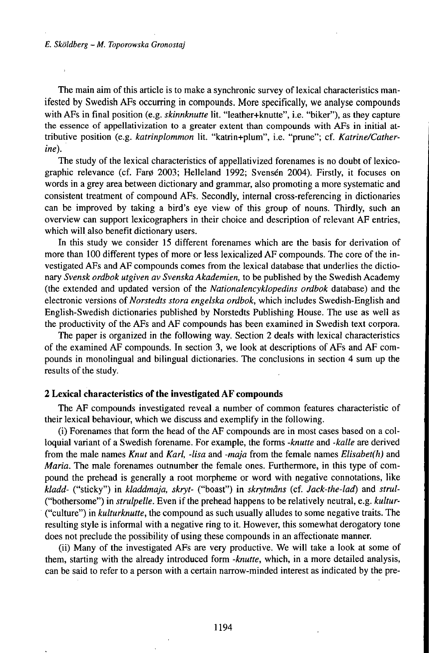The main aim of this article is to make a synchronic survey of lexical characteristics manifested by Swedish AFs occurring in compounds. More specifically, we analyse compounds with AFs in final position (e.g. *skinnknutte* lit. "leather+knutte", i.e. "biker"), as they capture the essence of appellativization to a greater extent than compounds with AFs in initial attributive position (e.g. *katrinplommon* lit. "katrin+plum", i.e. "prune"; cf. *Katrine/Catherine).*

The study of the lexical characteristics of appellativized forenames is no doubt of lexicographic relevance (cf. Farø 2003; Helleland 1992; Svensén 2004). Firstly, it focuses on words in a grey area between dictionary and grammar, also promoting a more systematic and consistent treatment of compound AFs. Secondly, internal cross-referencing in dictionaries can be improved by taking a bird's eye view of this group of nouns. Thirdly, such an overview can support lexicographers in their choice and description of relevant AF entries, which will also benefit dictionary users.

In this study we consider 15 different forenames which are the basis for derivation of more than 100 different types of more or less lexicalized AF compounds. The core of the investigated AFs and AF compounds comes from the lexical database that underlies the dictionary *Svensk ordbok utgiven av Svenska Akademien,* to be published by the Swedish Academy (the extended and updated version of the *Nationalencyklopedins ordbok* database) and the electronic versions of *Norstedts stora engelska ordbok,* which includes Swedish-English and English-Swedish dictionaries published by Norstedts Publishing House. The use as well as the productivity of the AFs and AF compounds has been examined in Swedish text corpora.

The paper is organized in the following way. Section 2 deals with lexical characteristics of the examined AF compounds. In section 3, we look at descriptions ofAFs and AF compounds in monolingual and bilingual dictionaries. The conclusions in section 4 sum up the results of the study.

### **2 Lexical characteristics of the investigated AF compounds**

The AF compounds investigated reveal a number of common features characteristic of their lexical behaviour, which we discuss and exemplify in the following.

(i) Forenames that form the head of the AF compounds are in most cases based on a colloquial variant of a Swedish forename. For example, the forms *-knutte* and *-kalle* are derived from the male names *Knut* and *Karl, -lisa* and *-maja* from the female names *Elisabet(h)* and *Maria.* The male forenames outnumber the female ones. Furthermore, in this type of compound the prehead is generally a root morpheme or word with negative connotations, like *kladd-* ("sticky") in *kladdmaja, skryt-* ("boast") in *skrytmåns* (cf. *Jack-the-lad)* and *strul-* ("bothersome") in *strulpelle.* Even if the prehead happens to be relatively neutral, e.g. *kultur-* ("culture") in *kulturknutte,* the compound as such usually alludes to some negative traits. The resulting style is informal with a negative ring to it. However, this somewhat derogatory tone does not preclude the possibility of using these compounds in an affectionate manner.

(ii) Many of the investigated AFs are very productive. We will take a look at some of them, starting with the already introduced form *-knutte,* which, in a more detailed analysis, can be said to refer to a person with a certain narrow-minded interest as indicated by the pre-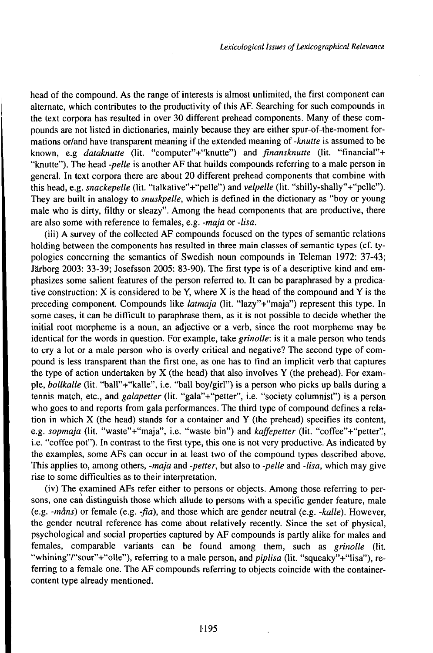head of the compound. As the range of interests is almost unlimited, the first component can alternate, which contributes to the productivity of this AF. Searching for such compounds in the text corpora has resulted in over 30 different prehead components. Many of these compounds are not listed in dictionaries, mainly because they are either spur-of-the-moment formations or/and have transparent meaning if the extended meaning of *-knutte* is assumed to be known, e.g *dataknutte* (lit. "computer"+"knutte") and *finansknutte* (lit. "financial"+ "knutte"). The head *-pelle* is another AF that builds compounds referring to a male person in general. In text corpora there are about 20 different prehead components that combine with this head, e.g. *snackepelle* (lit. "talkative"+"pelle") and *velpelle* (lit. "shilly-shally"+"pelle"). They are built in analogy to *snuskpelle,* which is defined in the dictionary as "boy or young male who is dirty, filthy or sleazy". Among the head components that are productive, there are also some with reference to females, e.g. *-maja* or *-lisa.*

(iii) A survey of the collected AF compounds focused on the types of semantic relations holding between the components has resulted in three main classes of semantic types (cf. typologies concerning the semantics of Swedish noun compounds in Teleman 1972: 37-43; Järborg 2003: 33-39; Josefsson 2005: 83-90). The first type is of a descriptive kind and emphasizes some salient features of the person referred to. It can be paraphrased by a predicative construction: X is considered to be Y, where X is the head of the compound and Y is the preceding component. Compounds like *latmaja* (lit. "lazy"+"maja") represent this type. In some cases, it can be difficult to paraphrase them, as it is not possible to decide whether the initial root morpheme is a noun, an adjective or a verb, since the root morpheme may be identical for the words in question. For example, take *grinolle:* is it a male person who tends to cry a lot or a male person who is overly critical and negative? The second type of compound is less transparent than the first one, as one has to find an implicit verb that captures the type of action undertaken by  $X$  (the head) that also involves  $Y$  (the prehead). For example, *bollkalle* (lit. "ball"+"kalle", i.e. "ball boy/girl") is a person who picks up balls during a tennis match, etc., and *galapetter* (lit. "gala"+"petter", i.e. "society columnist") is a person who goes to and reports from gala performances. The third type of compound defines a relation in which X (the head) stands for a container and Y (the prehead) specifies its content, e.g. *sopmaja* (lit. "waste"+"maja", i.e. "waste bin") and *kaffepetter* (lit. "coffee"+"petter", i.e. "coffee pot"). In contrast to the first type, this one is not very productive. As indicated by the examples, some AFs can occur in at least two of the compound types described above. This applies to, among others, *-maja* and *-petter,* but also to *-pelle* and *-lisa,* which may give rise to some difficulties as to their interpretation.

(iv) The examined AFs refer either to persons or objects. Among those referring to persons, one can distinguish those which allude to persons with a specific gender feature, male (e.g. *-måns)* or female (e.g. *-fia),* and those which are gender neutral (e.g. *-kalle).* However, the gender neutral reference has come about relatively recently. Since the set of physical, psychological and social properties captured by AF compounds is partly alike for males and females, comparable variants can be found among them, such as *grinolle* (lit. "whining"/"sour"+"olle"), referring to a male person, and *piplisa* (lit. "squeaky"+"lisa"), referring to a female one. The AF compounds referring to objects coincide with the containercontent type already mentioned.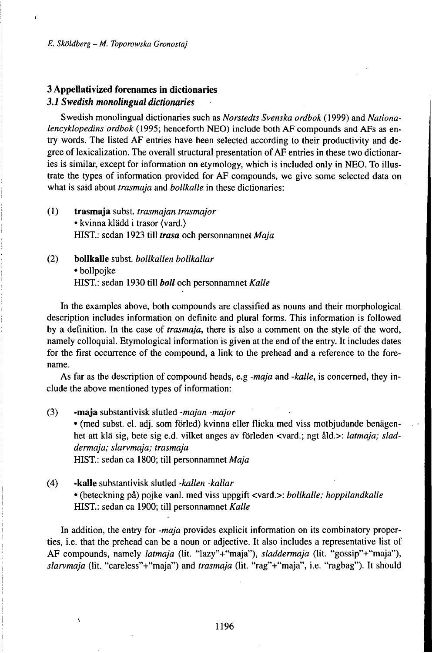# **3 Appellativized forenames in dictionaries** *3.1Swedishmonolingualdictionaries*

Swedish monolingual dictionaries such as *Norstedts Svenska ordbok* (1999) and *Nationalencyklopedins ordbok* (1995; henceforth NEO) include both AF compounds and AFs as entry words. The listed AF entries have been selected according to their productivity and degree of lexicalization. The overall structural presentation of AF entries in these two dictionaries is similar, except for information on etymology, which is included only in NEO. To illustrate the types of information provided for AF compounds, we give some selected data on what is said about *trasmaja* and *bollkalle* in these dictionaries:

- (1) **trasmaja** subst. *trasmajan trasmajor* • kvinna klädd i trasor (vard.) HIST.: sedan 1923 till *trasa* och personnamnet *Maja*
- **(2) bollkalle** subst. *bollkallen bollkallar* • bollpojke HIST: sedan 1930 till *boll* och personnamnet *Kalle*

In the examples above, both compounds are classified as nouns and their morphological description includes information on definite and plural forms. This information is followed by a definition. In the case of *trasmaja,* there is also a comment on the style of the word, namely colloquial. Etymological information is given at the end of the entry. It includes dates for the first occurrence of the compound, a link to the prehead and a reference to the forename.

As far as the description of compound heads, e.g *-maja* and *-kalle,* is concerned, they include the above mentioned types of information:

- (3) **-maja** substantivisk slutled *-majan -major* • (med subst. el. adj. som förled) kvinna eller flicka med viss motbjudande benägenhet att klä sig, bete sig e.d. vilket anges av förleden <vard.; ngt åld.>: *latmaja; sladdermaja; slarvmaja; trasmaja* HIST.: sedan ca 1800; till personnamnet Maja
- (4) **-kalle** substantivisk slutled *-kallen -kallar* • (beteckning på) pojke vanl. med viss uppgift <vard.>: *bollkalle; hoppilandkalle* HIST.: sedan ca 1900; till personnamnet *Kalle*

In addition, the entry for *-maja* provides explicit information on its combinatory properties, i.e. that the prehead can be a noun or adjective. It also includes a representative list of AF compounds, namely *latmaja* (lit. "lazy"+"maja"), *sladdermaja* (lit. "gossip"+"maja"), *slarvmaja* (lit. "careless"+"maja") and *trasmaja* (lit. "rag"+"maja", i.e. "ragbag"). It should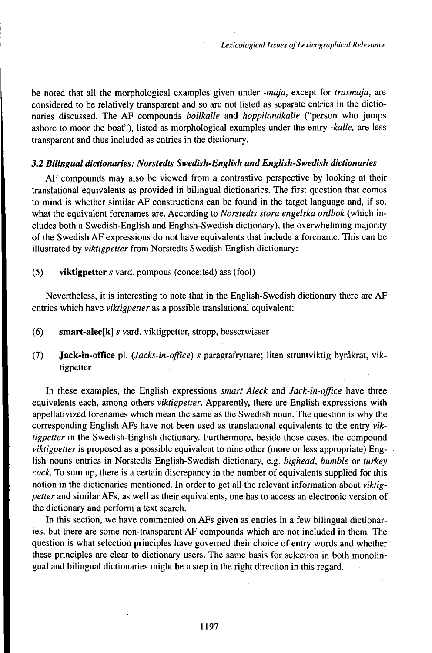be noted that all the morphological examples given under *-maja,* except for *trasmaja,* are considered to be relatively transparent and so are not listed as separate entries in the dictionaries discussed. The AF compounds *bollkalle* and *hoppilandkalle* ("person who jumps ashore to moor the boat"), listed as morphological examples under the entry *-kalle,* are less transparent and thus included as entries in the dictionary.

# *3.2 Bilingualdictionaries:Norstedts Swedish-English andEngtish-Swedishdictionaries*

AF compounds may also be viewed from a contrastive perspective by looking at their translational equivalents as provided in bilingual dictionaries. The first question that comes to mind is whether similar AF constructions can be found in the target language and, if so, what the equivalent forenames are. According to *Norstedts stora engelska ordbok* (which includes both a Swedish-English and English-Swedish dictionary), the overwhelming majority of the Swedish AF expressions do not have equivalents that include a forename. This can be illustrated by *viktigpetter* from Norstedts Swedish-English dictionary:

(5) **viktigpetter** í vard. pompous (conceited) ass (fool)

Nevertheless, it is interesting to note that in the English-Swedish dictionary there are AF entries which have *viktigpetter* as a possible translational equivalent:

- (6) **smart-alec[k]** *s* vard. viktigpetter, stropp, besserwisser
- (7) **Jack-in-office** pl. *(Jacks-in-office) s* paragrafryttare; liten struntviktig byråkrat, viktigpetter

In these examples, the English expressions *smart Aleck* and *Jack-in-office* have three equivalents each, among others *viktigpetter.* Apparently, there are English expressions with appellativized forenames which mean the same as the Swedish noun. The question is why the corresponding English AFs have not been used as translational equivalents to the entry *viktigpetter* in the Swedish-English dictionary. Furthermore, beside those cases, the compound *viktigpetter* is proposed as a possible equivalent to nine other (more or less appropriate) English nouns entries in Norstedts English-Swedish dictionary, e.g. *bighead, bumble* or *turkey cock.* To sum up, there is a certain discrepancy in the number of equivalents supplied for this notion in the dictionaries mentioned. In order to get all the relevant information about *viktigpetter* and similar AFs, as well as their equivalents, one has to access an electronic version of the dictionary and perform a text search.

In this section, we have commented on AFs given as entries in a few bilingual dictionaries, but there are some non-transparent AF compounds which are not included in them. The question is what selection principles have governed their choice of entry words and whether these principles are clear to dictionary users. The same basis for selection in both monolingual and bilingual dictionaries might be a step in the right direction in this regard.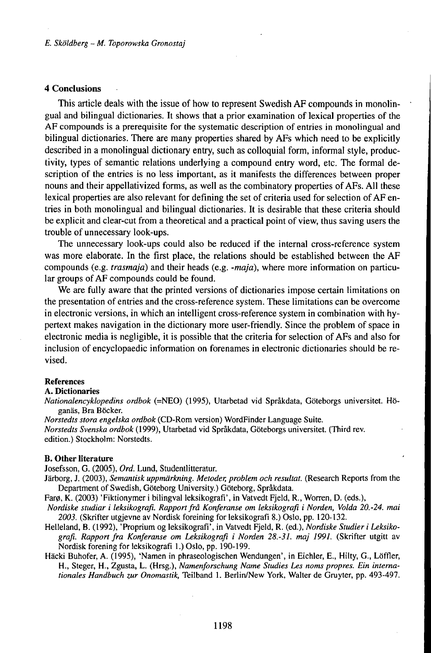### **4 Conclusions**

This article deals with the issue of how to represent Swedish AF compounds in monolingual and bilingual dictionaries. It shows that a prior examination of lexical properties of the AF compounds is a prerequisite for the systematic description of entries in monolingual and bilingual dictionaries. There are many properties shared by AFs which need to be explicitly described in a monolingual dictionary entry, such as colloquial form, informal style, productivity, types of semantic relations underlying a compound entry word, etc. The formal description of the entries is no less important, as it manifests the differences between proper nouns and their appellativized forms, as well as the combinatory properties of AFs. All these lexical properties are also relevant for defining the set of criteria used for selection of AF entries in both monolingual and bilingual dictionaries. It is desirable that these criteria should be explicit and clear-cut from a theoretical and a practical point of view, thus saving users the trouble of unnecessary look-ups.

The unnecessary look-ups could also be reduced if the internal cross-reference system was more elaborate. In the first place, the relations should be established between the AF compounds (e.g. *trasmaja)* and their heads (e.g. *-maja),* where more information on particular groups of AF compounds could be found.

We are fully aware that the printed versions of dictionaries impose certain limitations on the presentation of entries and the cross-reference system. These limitations can be overcome in electronic versions, in which an intelligent cross-reference system in combination with hypertext makes navigation in the dictionary more user-friendly. Since the problem of space in electronic media is negligible, it is possible that the criteria for selection of AFs and also for inclusion of encyclopaedic information on forenames in electronic dictionaries should be revised.

### **References**

#### A. **Dictionaries**

*Nationalencyklopedins ordbok* (=NEO) (1995), Utarbetad vid Språkdata, Göteborgs universitet. Höganäs, Bra Böcker.

*Norstedts stora engelska ordbok* (CD-Rom version) WordFinder Language Suite.

*Norstedts Svenska ordbok* (1999), Utarbetad vid Språkdata, Göteborgs universitet. (Third rev. edition.) Stockholm: Norstedts.

#### **B. Other literature**

Josefsson, G. (2005), *Ord.* Lund, Studentlitteratur.

Järborg, J. (2003), *Semantisk uppmärkning. Metoder, problem och resultat.* (Research Reports from the Department of Swedish, Göteborg University.) Göteborg, Språkdata.

Farø, K. (2003) 'Fiktionymer i bilingval leksikografi', in Vatvedt Fjeld, R., Worren, D. (eds.),

- *Nordiske studiar i leksikografi. Rapportfrå Konferanse om leksikografi i Norden, Volda 20.-24. mai 2003.* (Skrifter utgjevne av Nordisk foreining for leksikografi 8.) Oslo, pp. 120-132.
- Helleland, B. (1992), 'Proprium og leksikografi', in Vatvedt Fjeld, R. (ed.), *Nordiske Studier i Lefaikografi. Rapport fra Konferanse om Leksikografi i Norden 28.-31. maj 1991.* (Skrifter utgitt av Nordisk forening for leksikografi 1.) Oslo, pp. 190-199.
- Häcki Buhofer, A. (1995), 'Namen in phraseologischen Wendungen', in Eichler, E., Hilty, G., Löffler, H., Steger, H., Zgusta, L. (Hrsg.), *Namenforschung Name Studies Les noms propres. Ein internationales Handbuch zur Onomastik,* Teilband 1. Berlin/New York, Walter de Gruyter, pp. 493-497.